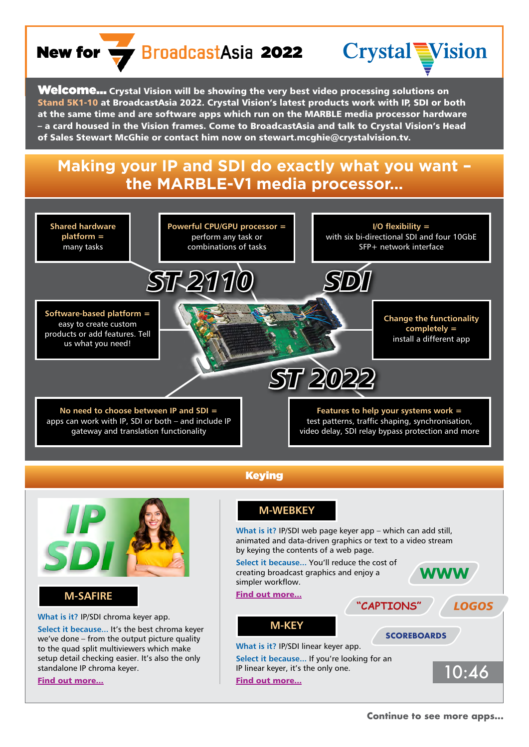## New for  $\frac{1}{2}$  BroadcastAsia 2022



**Welcome...** Crystal Vision will be showing the very best video processing solutions on Stand 5K1-10 at BroadcastAsia 2022. Crystal Vision's latest products work with IP, SDI or both at the same time and are software apps which run on the MARBLE media processor hardware – a card housed in the Vision frames. Come to BroadcastAsia and talk to Crystal Vision's Head of Sales Stewart McGhie or contact him now on stewart.mcghie@crystalvision.tv.

## **Making your IP and SDI do exactly what you want – the MARBLE-V1 media processor…**



**What is it?** IP/SDI linear keyer app.

**Select it because...** If you're looking for an

IP linear keyer, it's the only one.<br> [Find out more...](https://www.crystalvision.tv/resources/brochures/m-keybrochure.pdf)

**Select it because...** It's the best chroma keyer we've done – from the output picture quality to the quad split multiviewers which make setup detail checking easier. It's also the only standalone IP chroma keyer.

[Find out more...](https://www.crystalvision.tv/resources/brochures/m-safirebrochure.pdf)

**Continue to see more apps...**

**SCOREBOARDS**